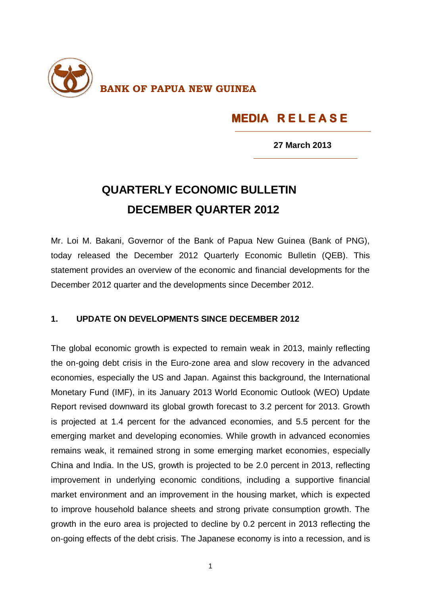

## **MEDIA R E L E A S E**

 **27 March 2013**

## **QUARTERLY ECONOMIC BULLETIN DECEMBER QUARTER 2012**

Mr. Loi M. Bakani, Governor of the Bank of Papua New Guinea (Bank of PNG), today released the December 2012 Quarterly Economic Bulletin (QEB). This statement provides an overview of the economic and financial developments for the December 2012 quarter and the developments since December 2012.

## **1. UPDATE ON DEVELOPMENTS SINCE DECEMBER 2012**

The global economic growth is expected to remain weak in 2013, mainly reflecting the on-going debt crisis in the Euro-zone area and slow recovery in the advanced economies, especially the US and Japan. Against this background, the International Monetary Fund (IMF), in its January 2013 World Economic Outlook (WEO) Update Report revised downward its global growth forecast to 3.2 percent for 2013. Growth is projected at 1.4 percent for the advanced economies, and 5.5 percent for the emerging market and developing economies. While growth in advanced economies remains weak, it remained strong in some emerging market economies, especially China and India. In the US, growth is projected to be 2.0 percent in 2013, reflecting improvement in underlying economic conditions, including a supportive financial market environment and an improvement in the housing market, which is expected to improve household balance sheets and strong private consumption growth. The growth in the euro area is projected to decline by 0.2 percent in 2013 reflecting the on-going effects of the debt crisis. The Japanese economy is into a recession, and is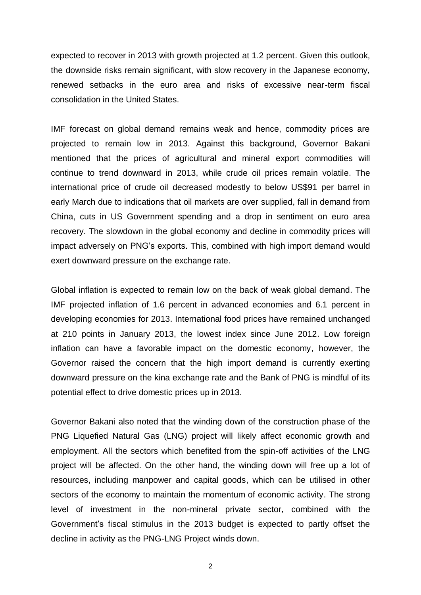expected to recover in 2013 with growth projected at 1.2 percent. Given this outlook, the downside risks remain significant, with slow recovery in the Japanese economy, renewed setbacks in the euro area and risks of excessive near-term fiscal consolidation in the United States.

IMF forecast on global demand remains weak and hence, commodity prices are projected to remain low in 2013. Against this background, Governor Bakani mentioned that the prices of agricultural and mineral export commodities will continue to trend downward in 2013, while crude oil prices remain volatile. The international price of crude oil decreased modestly to below US\$91 per barrel in early March due to indications that oil markets are over supplied, fall in demand from China, cuts in US Government spending and a drop in sentiment on euro area recovery. The slowdown in the global economy and decline in commodity prices will impact adversely on PNG's exports. This, combined with high import demand would exert downward pressure on the exchange rate.

Global inflation is expected to remain low on the back of weak global demand. The IMF projected inflation of 1.6 percent in advanced economies and 6.1 percent in developing economies for 2013. International food prices have remained unchanged at 210 points in January 2013, the lowest index since June 2012. Low foreign inflation can have a favorable impact on the domestic economy, however, the Governor raised the concern that the high import demand is currently exerting downward pressure on the kina exchange rate and the Bank of PNG is mindful of its potential effect to drive domestic prices up in 2013.

Governor Bakani also noted that the winding down of the construction phase of the PNG Liquefied Natural Gas (LNG) project will likely affect economic growth and employment. All the sectors which benefited from the spin-off activities of the LNG project will be affected. On the other hand, the winding down will free up a lot of resources, including manpower and capital goods, which can be utilised in other sectors of the economy to maintain the momentum of economic activity. The strong level of investment in the non-mineral private sector, combined with the Government's fiscal stimulus in the 2013 budget is expected to partly offset the decline in activity as the PNG-LNG Project winds down.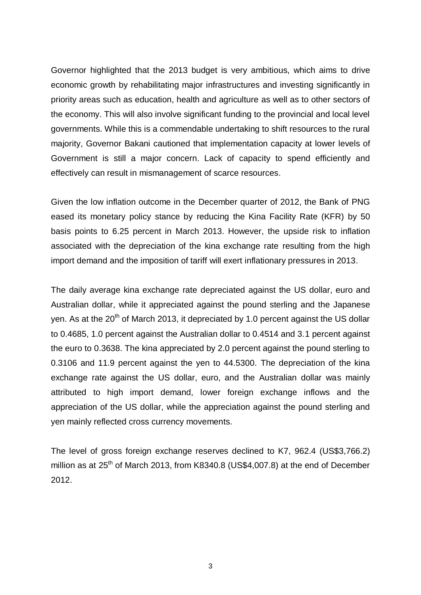Governor highlighted that the 2013 budget is very ambitious, which aims to drive economic growth by rehabilitating major infrastructures and investing significantly in priority areas such as education, health and agriculture as well as to other sectors of the economy. This will also involve significant funding to the provincial and local level governments. While this is a commendable undertaking to shift resources to the rural majority, Governor Bakani cautioned that implementation capacity at lower levels of Government is still a major concern. Lack of capacity to spend efficiently and effectively can result in mismanagement of scarce resources.

Given the low inflation outcome in the December quarter of 2012, the Bank of PNG eased its monetary policy stance by reducing the Kina Facility Rate (KFR) by 50 basis points to 6.25 percent in March 2013. However, the upside risk to inflation associated with the depreciation of the kina exchange rate resulting from the high import demand and the imposition of tariff will exert inflationary pressures in 2013.

The daily average kina exchange rate depreciated against the US dollar, euro and Australian dollar, while it appreciated against the pound sterling and the Japanese ven. As at the 20<sup>th</sup> of March 2013, it depreciated by 1.0 percent against the US dollar to 0.4685, 1.0 percent against the Australian dollar to 0.4514 and 3.1 percent against the euro to 0.3638. The kina appreciated by 2.0 percent against the pound sterling to 0.3106 and 11.9 percent against the yen to 44.5300. The depreciation of the kina exchange rate against the US dollar, euro, and the Australian dollar was mainly attributed to high import demand, lower foreign exchange inflows and the appreciation of the US dollar, while the appreciation against the pound sterling and yen mainly reflected cross currency movements.

The level of gross foreign exchange reserves declined to K7, 962.4 (US\$3,766.2) million as at  $25<sup>th</sup>$  of March 2013, from K8340.8 (US\$4,007.8) at the end of December 2012.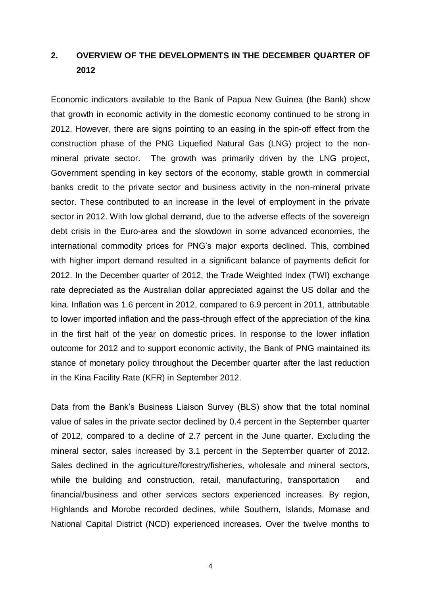## **2. OVERVIEW OF THE DEVELOPMENTS IN THE DECEMBER QUARTER OF 2012**

Economic indicators available to the Bank of Papua New Guinea (the Bank) show that growth in economic activity in the domestic economy continued to be strong in 2012. However, there are signs pointing to an easing in the spin-off effect from the construction phase of the PNG Liquefied Natural Gas (LNG) project to the nonmineral private sector. The growth was primarily driven by the LNG project, Government spending in key sectors of the economy, stable growth in commercial banks credit to the private sector and business activity in the non-mineral private sector. These contributed to an increase in the level of employment in the private sector in 2012. With low global demand, due to the adverse effects of the sovereign debt crisis in the Euro-area and the slowdown in some advanced economies, the international commodity prices for PNG's major exports declined. This, combined with higher import demand resulted in a significant balance of payments deficit for 2012. In the December quarter of 2012, the Trade Weighted Index (TWI) exchange rate depreciated as the Australian dollar appreciated against the US dollar and the kina. Inflation was 1.6 percent in 2012, compared to 6.9 percent in 2011, attributable to lower imported inflation and the pass-through effect of the appreciation of the kina in the first half of the year on domestic prices. In response to the lower inflation outcome for 2012 and to support economic activity, the Bank of PNG maintained its stance of monetary policy throughout the December quarter after the last reduction in the Kina Facility Rate (KFR) in September 2012.

Data from the Bank's Business Liaison Survey (BLS) show that the total nominal value of sales in the private sector declined by 0.4 percent in the September quarter of 2012, compared to a decline of 2.7 percent in the June quarter. Excluding the mineral sector, sales increased by 3.1 percent in the September quarter of 2012. Sales declined in the agriculture/forestry/fisheries, wholesale and mineral sectors, while the building and construction, retail, manufacturing, transportation and financial/business and other services sectors experienced increases. By region, Highlands and Morobe recorded declines, while Southern, Islands, Momase and National Capital District (NCD) experienced increases. Over the twelve months to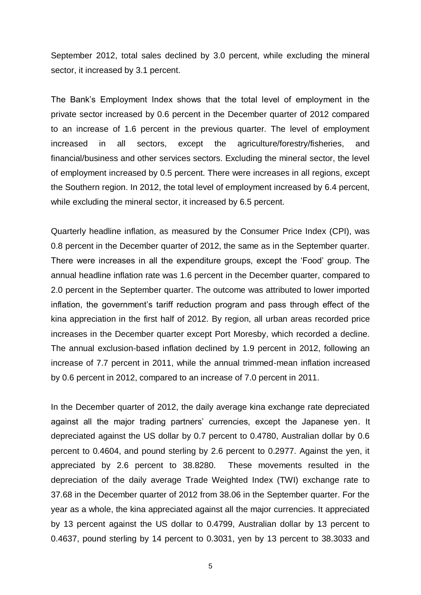September 2012, total sales declined by 3.0 percent, while excluding the mineral sector, it increased by 3.1 percent.

The Bank's Employment Index shows that the total level of employment in the private sector increased by 0.6 percent in the December quarter of 2012 compared to an increase of 1.6 percent in the previous quarter. The level of employment increased in all sectors, except the agriculture/forestry/fisheries, and financial/business and other services sectors. Excluding the mineral sector, the level of employment increased by 0.5 percent. There were increases in all regions, except the Southern region. In 2012, the total level of employment increased by 6.4 percent, while excluding the mineral sector, it increased by 6.5 percent.

Quarterly headline inflation, as measured by the Consumer Price Index (CPI), was 0.8 percent in the December quarter of 2012, the same as in the September quarter. There were increases in all the expenditure groups, except the 'Food' group. The annual headline inflation rate was 1.6 percent in the December quarter, compared to 2.0 percent in the September quarter. The outcome was attributed to lower imported inflation, the government's tariff reduction program and pass through effect of the kina appreciation in the first half of 2012. By region, all urban areas recorded price increases in the December quarter except Port Moresby, which recorded a decline. The annual exclusion-based inflation declined by 1.9 percent in 2012, following an increase of 7.7 percent in 2011, while the annual trimmed-mean inflation increased by 0.6 percent in 2012, compared to an increase of 7.0 percent in 2011.

In the December quarter of 2012, the daily average kina exchange rate depreciated against all the major trading partners' currencies, except the Japanese yen. It depreciated against the US dollar by 0.7 percent to 0.4780, Australian dollar by 0.6 percent to 0.4604, and pound sterling by 2.6 percent to 0.2977. Against the yen, it appreciated by 2.6 percent to 38.8280. These movements resulted in the depreciation of the daily average Trade Weighted Index (TWI) exchange rate to 37.68 in the December quarter of 2012 from 38.06 in the September quarter. For the year as a whole, the kina appreciated against all the major currencies. It appreciated by 13 percent against the US dollar to 0.4799, Australian dollar by 13 percent to 0.4637, pound sterling by 14 percent to 0.3031, yen by 13 percent to 38.3033 and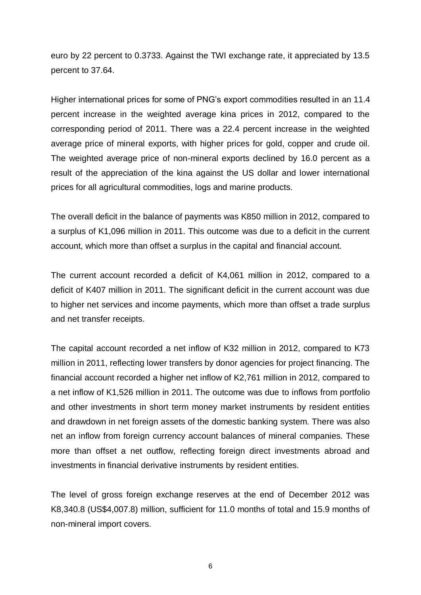euro by 22 percent to 0.3733. Against the TWI exchange rate, it appreciated by 13.5 percent to 37.64.

Higher international prices for some of PNG's export commodities resulted in an 11.4 percent increase in the weighted average kina prices in 2012, compared to the corresponding period of 2011. There was a 22.4 percent increase in the weighted average price of mineral exports, with higher prices for gold, copper and crude oil. The weighted average price of non-mineral exports declined by 16.0 percent as a result of the appreciation of the kina against the US dollar and lower international prices for all agricultural commodities, logs and marine products.

The overall deficit in the balance of payments was K850 million in 2012, compared to a surplus of K1,096 million in 2011. This outcome was due to a deficit in the current account, which more than offset a surplus in the capital and financial account.

The current account recorded a deficit of K4,061 million in 2012, compared to a deficit of K407 million in 2011. The significant deficit in the current account was due to higher net services and income payments, which more than offset a trade surplus and net transfer receipts.

The capital account recorded a net inflow of K32 million in 2012, compared to K73 million in 2011, reflecting lower transfers by donor agencies for project financing. The financial account recorded a higher net inflow of K2,761 million in 2012, compared to a net inflow of K1,526 million in 2011. The outcome was due to inflows from portfolio and other investments in short term money market instruments by resident entities and drawdown in net foreign assets of the domestic banking system. There was also net an inflow from foreign currency account balances of mineral companies. These more than offset a net outflow, reflecting foreign direct investments abroad and investments in financial derivative instruments by resident entities.

The level of gross foreign exchange reserves at the end of December 2012 was K8,340.8 (US\$4,007.8) million, sufficient for 11.0 months of total and 15.9 months of non-mineral import covers.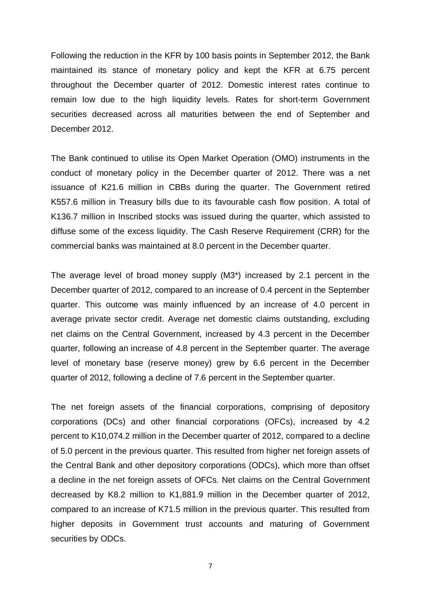Following the reduction in the KFR by 100 basis points in September 2012, the Bank maintained its stance of monetary policy and kept the KFR at 6.75 percent throughout the December quarter of 2012. Domestic interest rates continue to remain low due to the high liquidity levels. Rates for short-term Government securities decreased across all maturities between the end of September and December 2012.

The Bank continued to utilise its Open Market Operation (OMO) instruments in the conduct of monetary policy in the December quarter of 2012. There was a net issuance of K21.6 million in CBBs during the quarter. The Government retired K557.6 million in Treasury bills due to its favourable cash flow position. A total of K136.7 million in Inscribed stocks was issued during the quarter, which assisted to diffuse some of the excess liquidity. The Cash Reserve Requirement (CRR) for the commercial banks was maintained at 8.0 percent in the December quarter.

The average level of broad money supply (M3\*) increased by 2.1 percent in the December quarter of 2012, compared to an increase of 0.4 percent in the September quarter. This outcome was mainly influenced by an increase of 4.0 percent in average private sector credit. Average net domestic claims outstanding, excluding net claims on the Central Government, increased by 4.3 percent in the December quarter, following an increase of 4.8 percent in the September quarter. The average level of monetary base (reserve money) grew by 6.6 percent in the December quarter of 2012, following a decline of 7.6 percent in the September quarter.

The net foreign assets of the financial corporations, comprising of depository corporations (DCs) and other financial corporations (OFCs), increased by 4.2 percent to K10,074.2 million in the December quarter of 2012, compared to a decline of 5.0 percent in the previous quarter. This resulted from higher net foreign assets of the Central Bank and other depository corporations (ODCs), which more than offset a decline in the net foreign assets of OFCs. Net claims on the Central Government decreased by K8.2 million to K1,881.9 million in the December quarter of 2012, compared to an increase of K71.5 million in the previous quarter. This resulted from higher deposits in Government trust accounts and maturing of Government securities by ODCs.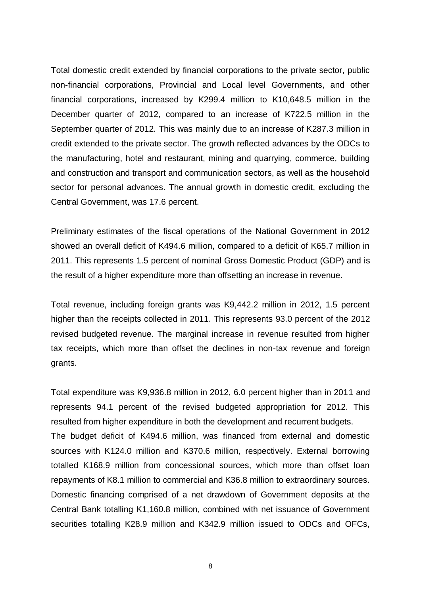Total domestic credit extended by financial corporations to the private sector, public non-financial corporations, Provincial and Local level Governments, and other financial corporations, increased by K299.4 million to K10,648.5 million in the December quarter of 2012, compared to an increase of K722.5 million in the September quarter of 2012. This was mainly due to an increase of K287.3 million in credit extended to the private sector. The growth reflected advances by the ODCs to the manufacturing, hotel and restaurant, mining and quarrying, commerce, building and construction and transport and communication sectors, as well as the household sector for personal advances. The annual growth in domestic credit, excluding the Central Government, was 17.6 percent.

Preliminary estimates of the fiscal operations of the National Government in 2012 showed an overall deficit of K494.6 million, compared to a deficit of K65.7 million in 2011. This represents 1.5 percent of nominal Gross Domestic Product (GDP) and is the result of a higher expenditure more than offsetting an increase in revenue.

Total revenue, including foreign grants was K9,442.2 million in 2012, 1.5 percent higher than the receipts collected in 2011. This represents 93.0 percent of the 2012 revised budgeted revenue. The marginal increase in revenue resulted from higher tax receipts, which more than offset the declines in non-tax revenue and foreign grants.

Total expenditure was K9,936.8 million in 2012, 6.0 percent higher than in 2011 and represents 94.1 percent of the revised budgeted appropriation for 2012. This resulted from higher expenditure in both the development and recurrent budgets. The budget deficit of K494.6 million, was financed from external and domestic sources with K124.0 million and K370.6 million, respectively. External borrowing totalled K168.9 million from concessional sources, which more than offset loan repayments of K8.1 million to commercial and K36.8 million to extraordinary sources. Domestic financing comprised of a net drawdown of Government deposits at the Central Bank totalling K1,160.8 million, combined with net issuance of Government securities totalling K28.9 million and K342.9 million issued to ODCs and OFCs,